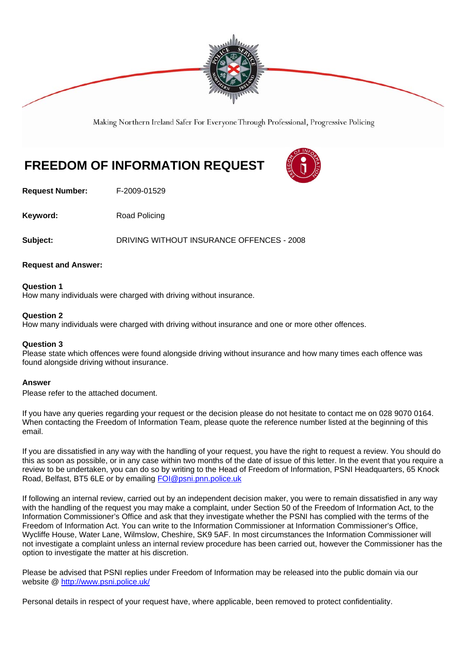

Making Northern Ireland Safer For Everyone Through Professional, Progressive Policing

# **FREEDOM OF INFORMATION REQUEST**

**Request Number:** F-2009-01529

**Keyword:** Road Policing

**Subject:** DRIVING WITHOUT INSURANCE OFFENCES - 2008

## **Request and Answer:**

**Question 1**  How many individuals were charged with driving without insurance.

#### **Question 2**

How many individuals were charged with driving without insurance and one or more other offences.

## **Question 3**

Please state which offences were found alongside driving without insurance and how many times each offence was found alongside driving without insurance.

#### **Answer**

Please refer to the attached document.

If you have any queries regarding your request or the decision please do not hesitate to contact me on 028 9070 0164. When contacting the Freedom of Information Team, please quote the reference number listed at the beginning of this email.

If you are dissatisfied in any way with the handling of your request, you have the right to request a review. You should do this as soon as possible, or in any case within two months of the date of issue of this letter. In the event that you require a review to be undertaken, you can do so by writing to the Head of Freedom of Information, PSNI Headquarters, 65 Knock Road, Belfast, BT5 6LE or by emailing FOI@psni.pnn.police.uk

If following an internal review, carried out by an independent decision maker, you were to remain dissatisfied in any way with the handling of the request you may make a complaint, under Section 50 of the Freedom of Information Act, to the Information Commissioner's Office and ask that they investigate whether the PSNI has complied with the terms of the Freedom of Information Act. You can write to the Information Commissioner at Information Commissioner's Office, Wycliffe House, Water Lane, Wilmslow, Cheshire, SK9 5AF. In most circumstances the Information Commissioner will not investigate a complaint unless an internal review procedure has been carried out, however the Commissioner has the option to investigate the matter at his discretion.

Please be advised that PSNI replies under Freedom of Information may be released into the public domain via our website @ http://www.psni.police.uk/

Personal details in respect of your request have, where applicable, been removed to protect confidentiality.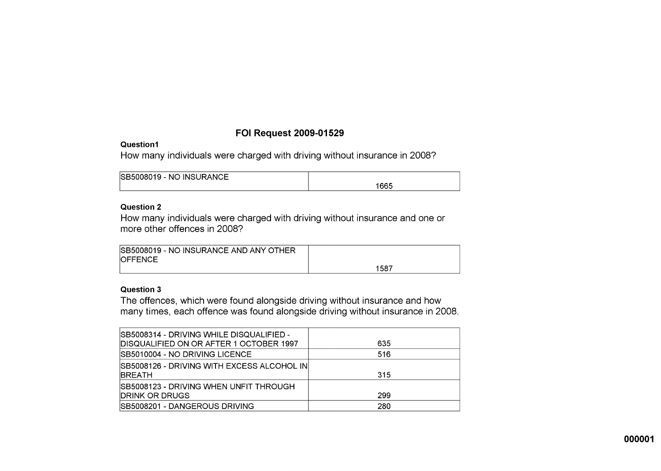# **FOI Request 2009-01529**

# Question1

How many individuals were charged with driving without insurance in 2008?

| ISB5008019 - NO INSURANCE |      |
|---------------------------|------|
|                           | 1665 |

## **Question 2**

How many individuals were charged with driving without insurance and one or more other offences in 2008?

| SB5008019 - NO INSURANCE AND ANY OTHER |      |
|----------------------------------------|------|
| <b>IOFFENCE</b>                        |      |
|                                        | 1587 |

# **Question 3**

The offences, which were found alongside driving without insurance and how many times, each offence was found alongside driving without insurance in 2008.

| ISB5008314 - DRIVING WHILE DISQUALIFIED -    |     |
|----------------------------------------------|-----|
| DISQUALIFIED ON OR AFTER 1 OCTOBER 1997      | 635 |
| ISB5010004 - NO DRIVING LICENCE              | 516 |
| ISB5008126 - DRIVING WITH EXCESS ALCOHOL INI |     |
| <b>IBREATH</b>                               | 315 |
| ISB5008123 - DRIVING WHEN UNFIT THROUGH      |     |
| <b>IDRINK OR DRUGS</b>                       | 299 |
| SB5008201 - DANGEROUS DRIVING                | 280 |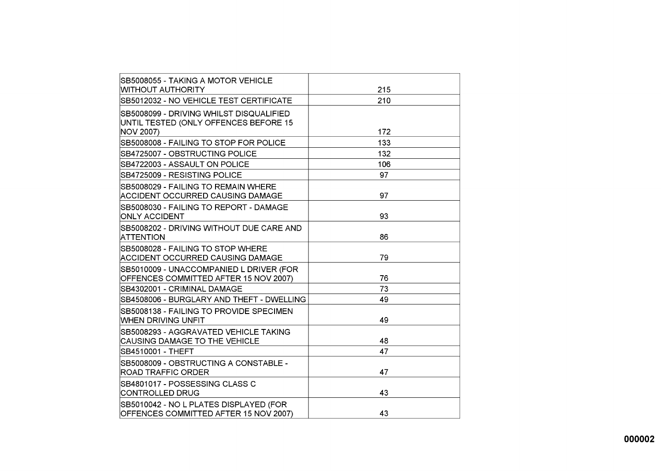| SB5008055 - TAKING A MOTOR VEHICLE        |     |
|-------------------------------------------|-----|
| WITHOUT AUTHORITY                         | 215 |
| SB5012032 - NO VEHICLE TEST CERTIFICATE   | 210 |
| SB5008099 - DRIVING WHILST DISQUALIFIED   |     |
| UNTIL TESTED (ONLY OFFENCES BEFORE 15     |     |
| NOV 2007)                                 | 172 |
| SB5008008 - FAILING TO STOP FOR POLICE    | 133 |
| SB4725007 - OBSTRUCTING POLICE            | 132 |
| ISB4722003 - ASSAULT ON POLICE            | 106 |
| SB4725009 - RESISTING POLICE              | 97  |
| SB5008029 - FAILING TO REMAIN WHERE       |     |
| ACCIDENT OCCURRED CAUSING DAMAGE          | 97  |
| SB5008030 - FAILING TO REPORT - DAMAGE    |     |
| IONLY ACCIDENT                            | 93  |
| SB5008202 - DRIVING WITHOUT DUE CARE AND  |     |
| ATTENTION                                 | 86  |
| SB5008028 - FAILING TO STOP WHERE         |     |
| ACCIDENT OCCURRED CAUSING DAMAGE          | 79  |
| SB5010009 - UNACCOMPANIED L DRIVER (FOR   |     |
| OFFENCES COMMITTED AFTER 15 NOV 2007)     | 76  |
| SB4302001 - CRIMINAL DAMAGE               | 73  |
| SB4508006 - BURGLARY AND THEFT - DWELLING | 49  |
| SB5008138 - FAILING TO PROVIDE SPECIMEN   |     |
| WHEN DRIVING UNFIT                        | 49  |
| SB5008293 - AGGRAVATED VEHICLE TAKING     |     |
| <b>CAUSING DAMAGE TO THE VEHICLE</b>      | 48  |
| SB4510001 - THEFT                         | 47  |
| SB5008009 - OBSTRUCTING A CONSTABLE -     |     |
| <b>ROAD TRAFFIC ORDER</b>                 | 47  |
| SB4801017 - POSSESSING CLASS C            |     |
| CONTROLLED DRUG                           | 43  |
| SB5010042 - NO L PLATES DISPLAYED (FOR    |     |
| OFFENCES COMMITTED AFTER 15 NOV 2007)     | 43  |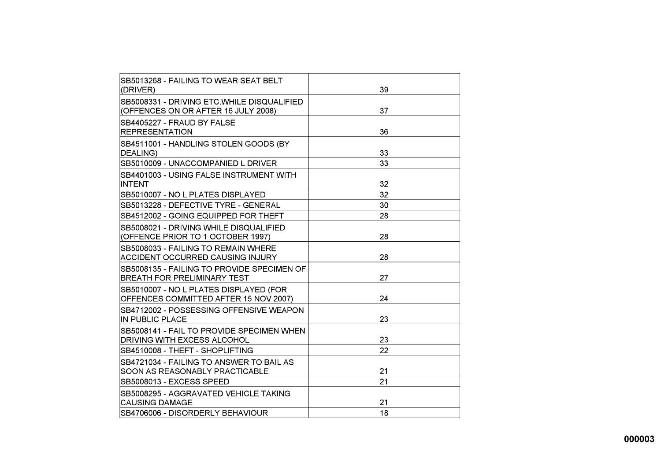| SB5013268 - FAILING TO WEAR SEAT BELT<br>(DRIVER)                                 | 39 |
|-----------------------------------------------------------------------------------|----|
| SB5008331 - DRIVING ETC.WHILE DISQUALIFIED<br>(OFFENCES ON OR AFTER 16 JULY 2008) | 37 |
| SB4405227 - FRAUD BY FALSE<br><b>REPRESENTATION</b>                               | 36 |
| SB4511001 - HANDLING STOLEN GOODS (BY<br>DEALING)                                 | 33 |
| SB5010009 - UNACCOMPANIED L DRIVER                                                | 33 |
| SB4401003 - USING FALSE INSTRUMENT WITH<br>INTENT                                 | 32 |
| SB5010007 - NO L PLATES DISPLAYED                                                 | 32 |
| SB5013228 - DEFECTIVE TYRE - GENERAL                                              | 30 |
| SB4512002 - GOING EQUIPPED FOR THEFT                                              | 28 |
| SB5008021 - DRIVING WHILE DISQUALIFIED<br>(OFFENCE PRIOR TO 1 OCTOBER 1997)       | 28 |
| SB5008033 - FAILING TO REMAIN WHERE<br>ACCIDENT OCCURRED CAUSING INJURY           | 28 |
| SB5008135 - FAILING TO PROVIDE SPECIMEN OF<br>BREATH FOR PRELIMINARY TEST         | 27 |
| SB5010007 - NO L PLATES DISPLAYED (FOR<br>OFFENCES COMMITTED AFTER 15 NOV 2007)   | 24 |
| SB4712002 - POSSESSING OFFENSIVE WEAPON<br><b>IN PUBLIC PLACE</b>                 | 23 |
| SB5008141 - FAIL TO PROVIDE SPECIMEN WHEN<br>DRIVING WITH EXCESS ALCOHOL          | 23 |
| SB4510008 - THEFT - SHOPLIFTING                                                   | 22 |
| SB4721034 - FAILING TO ANSWER TO BAIL AS<br>SOON AS REASONABLY PRACTICABLE        | 21 |
| SB5008013 - EXCESS SPEED                                                          | 21 |
| SB5008295 - AGGRAVATED VEHICLE TAKING<br><b>CAUSING DAMAGE</b>                    | 21 |
| SB4706006 - DISORDERLY BEHAVIOUR                                                  | 18 |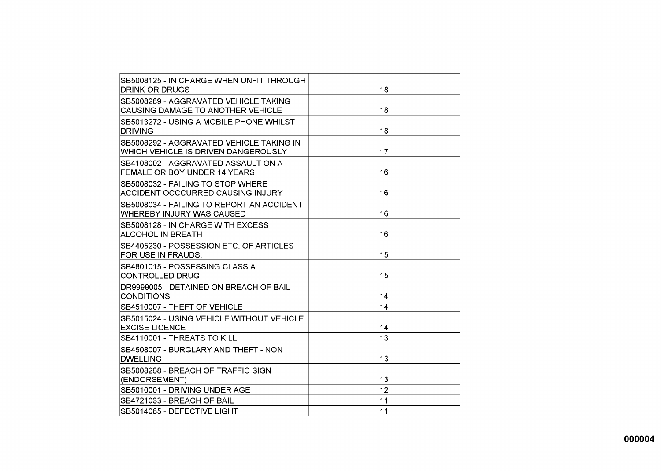| SB5008125 - IN CHARGE WHEN UNFIT THROUGH<br>DRINK OR DRUGS                       | 18 |
|----------------------------------------------------------------------------------|----|
| SB5008289 - AGGRAVATED VEHICLE TAKING                                            |    |
| ICAUSING DAMAGE TO ANOTHER VEHICLE                                               | 18 |
| ISB5013272 - USING A MOBILE PHONE WHILST<br><b>IDRIVING</b>                      | 18 |
| ISB5008292 - AGGRAVATED VEHICLE TAKING IN<br>WHICH VEHICLE IS DRIVEN DANGEROUSLY | 17 |
| ISB4108002 - AGGRAVATED ASSAULT ON A<br><b>FEMALE OR BOY UNDER 14 YEARS</b>      | 16 |
| SB5008032 - FAILING TO STOP WHERE<br>ACCIDENT OCCCURRED CAUSING INJURY           | 16 |
| ISB5008034 - FAILING TO REPORT AN ACCIDENT<br>IWHEREBY INJURY WAS CAUSED         | 16 |
| SB5008128 - IN CHARGE WITH EXCESS<br>ALCOHOL IN BREATH                           | 16 |
| SB4405230 - POSSESSION ETC. OF ARTICLES<br>FOR USE IN FRAUDS.                    | 15 |
| ISB4801015 - POSSESSING CLASS A<br> CONTROLLED DRUG                              | 15 |
| DR9999005 - DETAINED ON BREACH OF BAIL<br>CONDITIONS                             | 14 |
| SB4510007 - THEFT OF VEHICLE                                                     | 14 |
| SB5015024 - USING VEHICLE WITHOUT VEHICLE<br><b>EXCISE LICENCE</b>               | 14 |
| SB4110001 - THREATS TO KILL                                                      | 13 |
| ISB4508007 - BURGLARY AND THEFT - NON<br><b>DWELLING</b>                         | 13 |
| SB5008268 - BREACH OF TRAFFIC SIGN<br>(ENDORSEMENT)                              | 13 |
| ISB5010001 - DRIVING UNDER AGE                                                   | 12 |
| ISB4721033 - BREACH OF BAIL                                                      | 11 |
| SB5014085 - DEFECTIVE LIGHT                                                      | 11 |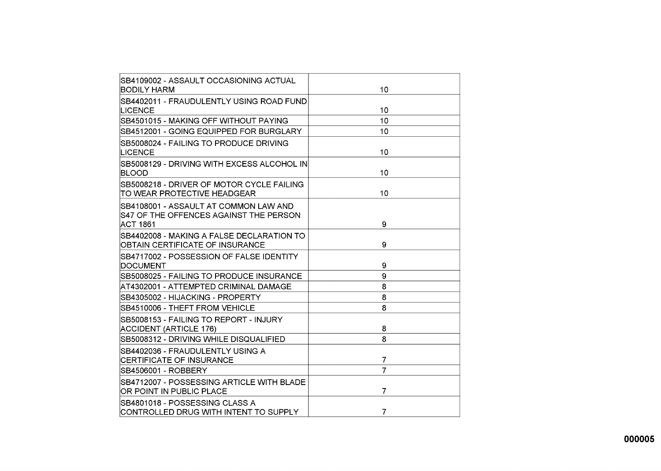| SB4109002 - ASSAULT OCCASIONING ACTUAL      |                |
|---------------------------------------------|----------------|
| BODILY HARM                                 | 10             |
| ISB4402011 - FRAUDULENTLY USING ROAD FUND   |                |
| LICENCE                                     | 10             |
| ISB4501015 - MAKING OFF WITHOUT PAYING      | 10             |
| SB4512001 - GOING EQUIPPED FOR BURGLARY     | 10             |
| SB5008024 - FAILING TO PRODUCE DRIVING      |                |
| <b>LICENCE</b>                              | 10             |
| ISB5008129 - DRIVING WITH EXCESS ALCOHOL IN |                |
| BLOOD                                       | 10             |
| SB5008218 - DRIVER OF MOTOR CYCLE FAILING   |                |
| TO WEAR PROTECTIVE HEADGEAR                 | 10             |
| ISB4108001 - ASSAULT AT COMMON LAW AND      |                |
| IS47 OF THE OFFENCES AGAINST THE PERSON     |                |
| ACT 1861                                    | 9              |
| SB4402008 - MAKING A FALSE DECLARATION TO   |                |
| OBTAIN CERTIFICATE OF INSURANCE             | 9              |
| SB4717002 - POSSESSION OF FALSE IDENTITY    |                |
| DOCUMENT                                    | 9              |
| SB5008025 - FAILING TO PRODUCE INSURANCE    | 9              |
| AT4302001 - ATTEMPTED CRIMINAL DAMAGE       | 8              |
| SB4305002 - HIJACKING - PROPERTY            | 8              |
| SB4510006 - THEFT FROM VEHICLE              | 8              |
| SB5008153 - FAILING TO REPORT - INJURY      |                |
| <b>ACCIDENT (ARTICLE 176)</b>               | 8              |
| SB5008312 - DRIVING WHILE DISQUALIFIED      | 8              |
| SB4402036 - FRAUDULENTLY USING A            |                |
| CERTIFICATE OF INSURANCE                    | 7              |
| SB4506001 - ROBBERY                         | 7              |
| SB4712007 - POSSESSING ARTICLE WITH BLADE   |                |
| OR POINT IN PUBLIC PLACE                    | 7              |
| SB4801018 - POSSESSING CLASS A              |                |
| CONTROLLED DRUG WITH INTENT TO SUPPLY       | $\overline{7}$ |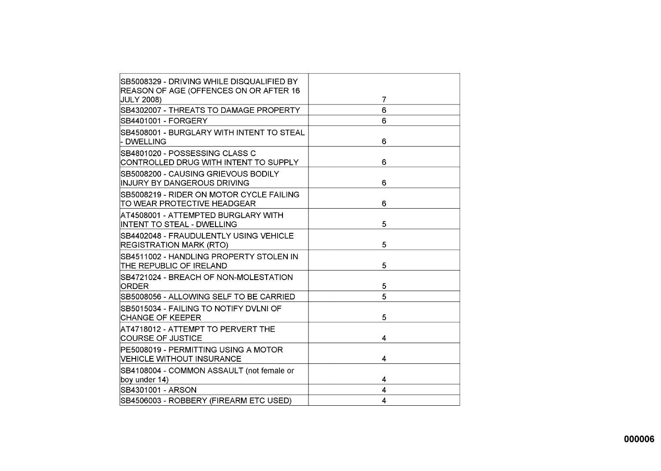| SB5008329 - DRIVING WHILE DISQUALIFIED BY<br>REASON OF AGE (OFFENCES ON OR AFTER 16 |   |
|-------------------------------------------------------------------------------------|---|
| <b>JULY 2008)</b>                                                                   | 7 |
| SB4302007 - THREATS TO DAMAGE PROPERTY                                              | 6 |
| SB4401001 - FORGERY                                                                 | 6 |
| ISB4508001 - BURGLARY WITH INTENT TO STEAL<br>- DWELLING                            | 6 |
| ISB4801020 - POSSESSING CLASS C<br>CONTROLLED DRUG WITH INTENT TO SUPPLY            | 6 |
| ISB5008200 - CAUSING GRIEVOUS BODILY<br>INJURY BY DANGEROUS DRIVING                 | 6 |
| ISB5008219 - RIDER ON MOTOR CYCLE FAILING<br>TO WEAR PROTECTIVE HEADGEAR            | 6 |
| AT4508001 - ATTEMPTED BURGLARY WITH<br><b>INTENT TO STEAL - DWELLING</b>            | 5 |
| SB4402048 - FRAUDULENTLY USING VEHICLE<br><b>REGISTRATION MARK (RTO)</b>            | 5 |
| SB4511002 - HANDLING PROPERTY STOLEN IN<br>THE REPUBLIC OF IRELAND                  | 5 |
| SB4721024 - BREACH OF NON-MOLESTATION<br>ORDER                                      | 5 |
| SB5008056 - ALLOWING SELF TO BE CARRIED                                             | 5 |
| SB5015034 - FAILING TO NOTIFY DVLNI OF<br>CHANGE OF KEEPER                          | 5 |
| AT4718012 - ATTEMPT TO PERVERT THE<br><b>COURSE OF JUSTICE</b>                      | 4 |
| PE5008019 - PERMITTING USING A MOTOR<br>VEHICLE WITHOUT INSURANCE                   | 4 |
| SB4108004 - COMMON ASSAULT (not female or<br>boy under 14)                          | 4 |
| SB4301001 - ARSON                                                                   | 4 |
| SB4506003 - ROBBERY (FIREARM ETC USED)                                              | 4 |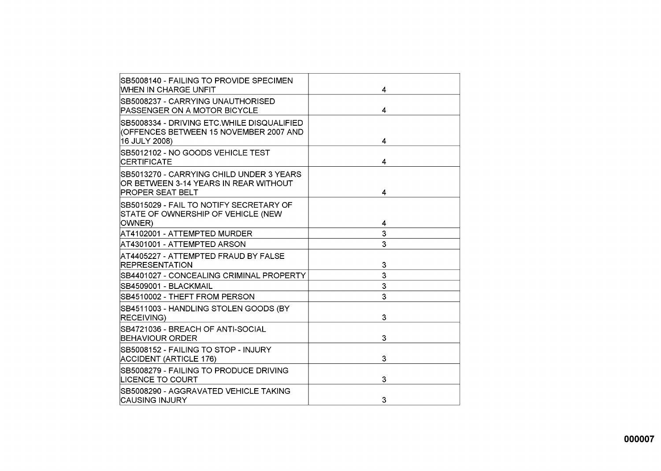| SB5008140 - FAILING TO PROVIDE SPECIMEN<br><b>WHEN IN CHARGE UNFIT</b>                                        | 4 |
|---------------------------------------------------------------------------------------------------------------|---|
| ISB5008237 - CARRYING UNAUTHORISED<br>PASSENGER ON A MOTOR BICYCLE                                            | 4 |
| SB5008334 - DRIVING ETC.WHILE DISQUALIFIED<br>(OFFENCES BETWEEN 15 NOVEMBER 2007 AND<br>16 JULY 2008)         | 4 |
| SB5012102 - NO GOODS VEHICLE TEST<br>ICERTIFICATE                                                             | 4 |
| ISB5013270 - CARRYING CHILD UNDER 3 YEARS<br>OR BETWEEN 3-14 YEARS IN REAR WITHOUT<br><b>PROPER SEAT BELT</b> | 4 |
| SB5015029 - FAIL TO NOTIFY SECRETARY OF<br>STATE OF OWNERSHIP OF VEHICLE (NEW<br>OWNER)                       | 4 |
| AT4102001 - ATTEMPTED MURDER                                                                                  | 3 |
| AT4301001 - ATTEMPTED ARSON                                                                                   | 3 |
| AT4405227 - ATTEMPTED FRAUD BY FALSE<br><b>IREPRESENTATION</b>                                                | 3 |
| SB4401027 - CONCEALING CRIMINAL PROPERTY                                                                      | 3 |
| SB4509001 - BLACKMAIL                                                                                         | 3 |
| SB4510002 - THEFT FROM PERSON                                                                                 | 3 |
| SB4511003 - HANDLING STOLEN GOODS (BY<br><b>RECEIVING)</b>                                                    | 3 |
| SB4721036 - BREACH OF ANTI-SOCIAL<br><b>BEHAVIOUR ORDER</b>                                                   | 3 |
| SB5008152 - FAILING TO STOP - INJURY<br>ACCIDENT (ARTICLE 176)                                                | 3 |
| SB5008279 - FAILING TO PRODUCE DRIVING<br><b>LICENCE TO COURT</b>                                             | 3 |
| ISB5008290 - AGGRAVATED VEHICLE TAKING<br>ICAUSING INJURY                                                     | 3 |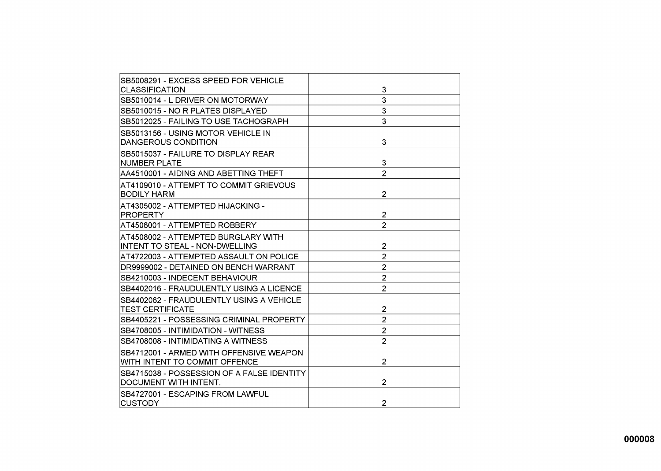| SB5008291 - EXCESS SPEED FOR VEHICLE                                     |                |
|--------------------------------------------------------------------------|----------------|
| <b>CLASSIFICATION</b>                                                    | 3              |
| SB5010014 - L DRIVER ON MOTORWAY                                         | 3              |
| SB5010015 - NO R PLATES DISPLAYED                                        | 3              |
| SB5012025 - FAILING TO USE TACHOGRAPH                                    | 3              |
| SB5013156 - USING MOTOR VEHICLE IN<br>DANGEROUS CONDITION                | 3              |
| SB5015037 - FAILURE TO DISPLAY REAR<br>INUMBER PLATE                     | 3              |
| AA4510001 - AIDING AND ABETTING THEFT                                    | $\overline{2}$ |
| AT4109010 - ATTEMPT TO COMMIT GRIEVOUS<br><b>BODILY HARM</b>             | $\overline{2}$ |
| AT4305002 - ATTEMPTED HIJACKING -<br>PROPERTY                            | $\overline{2}$ |
| AT4506001 - ATTEMPTED ROBBERY                                            | $\overline{2}$ |
| AT4508002 - ATTEMPTED BURGLARY WITH<br>INTENT TO STEAL - NON-DWELLING    | $\overline{2}$ |
| AT4722003 - ATTEMPTED ASSAULT ON POLICE                                  | $\overline{2}$ |
| DR9999002 - DETAINED ON BENCH WARRANT                                    | $\overline{2}$ |
| SB4210003 - INDECENT BEHAVIOUR                                           | $\overline{2}$ |
| SB4402016 - FRAUDULENTLY USING A LICENCE                                 | $\overline{2}$ |
| SB4402062 - FRAUDULENTLY USING A VEHICLE<br><b>TEST CERTIFICATE</b>      | $\overline{2}$ |
| SB4405221 - POSSESSING CRIMINAL PROPERTY                                 | $\overline{2}$ |
| SB4708005 - INTIMIDATION - WITNESS                                       | $\overline{2}$ |
| SB4708008 - INTIMIDATING A WITNESS                                       | $\overline{2}$ |
| SB4712001 - ARMED WITH OFFENSIVE WEAPON<br>WITH INTENT TO COMMIT OFFENCE | $\overline{2}$ |
| SB4715038 - POSSESSION OF A FALSE IDENTITY<br>DOCUMENT WITH INTENT.      | $\overline{2}$ |
| SB4727001 - ESCAPING FROM LAWFUL<br> CUSTODY                             | $\overline{2}$ |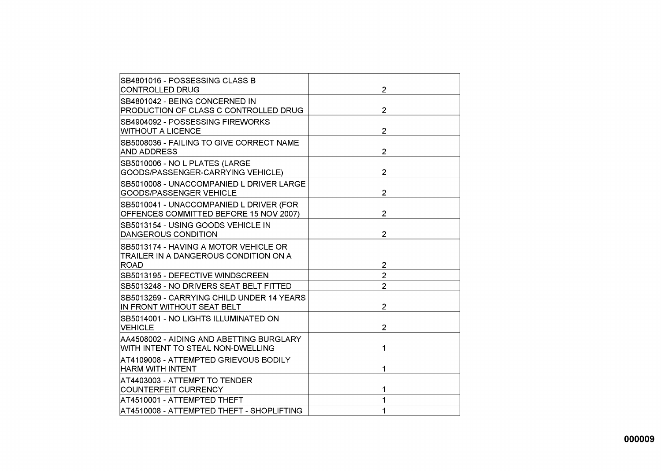| SB4801016 - POSSESSING CLASS B<br>CONTROLLED DRUG                                 | $\overline{2}$ |
|-----------------------------------------------------------------------------------|----------------|
| SB4801042 - BEING CONCERNED IN<br>PRODUCTION OF CLASS C CONTROLLED DRUG           | $\overline{2}$ |
| SB4904092 - POSSESSING FIREWORKS<br><b>WITHOUT A LICENCE</b>                      | $\overline{2}$ |
| SB5008036 - FAILING TO GIVE CORRECT NAME<br>AND ADDRESS                           | $\overline{2}$ |
| SB5010006 - NO L PLATES (LARGE<br>GOODS/PASSENGER-CARRYING VEHICLE)               | $\overline{2}$ |
| SB5010008 - UNACCOMPANIED L DRIVER LARGE<br>GOODS/PASSENGER VEHICLE               | $\overline{2}$ |
| SB5010041 - UNACCOMPANIED L DRIVER (FOR<br>OFFENCES COMMITTED BEFORE 15 NOV 2007) | $\overline{2}$ |
| SB5013154 - USING GOODS VEHICLE IN<br><b>DANGEROUS CONDITION</b>                  | $\overline{2}$ |
| ISB5013174 - HAVING A MOTOR VEHICLE OR<br>TRAILER IN A DANGEROUS CONDITION ON A   |                |
| ROAD                                                                              | 2              |
| SB5013195 - DEFECTIVE WINDSCREEN                                                  | $\overline{2}$ |
| SB5013248 - NO DRIVERS SEAT BELT FITTED                                           | $\overline{2}$ |
| ISB5013269 - CARRYING CHILD UNDER 14 YEARS<br>IIN FRONT WITHOUT SEAT BELT         | $\overline{2}$ |
| SB5014001 - NO LIGHTS ILLUMINATED ON<br><b>VEHICLE</b>                            | 2              |
| AA4508002 - AIDING AND ABETTING BURGLARY<br>WITH INTENT TO STEAL NON-DWELLING     | 1              |
| AT4109008 - ATTEMPTED GRIEVOUS BODILY<br><b>HARM WITH INTENT</b>                  | 1              |
| AT4403003 - ATTEMPT TO TENDER<br>COUNTERFEIT CURRENCY                             |                |
| AT4510001 - ATTEMPTED THEFT                                                       | 1              |
| AT4510008 - ATTEMPTED THEFT - SHOPLIFTING                                         | 1              |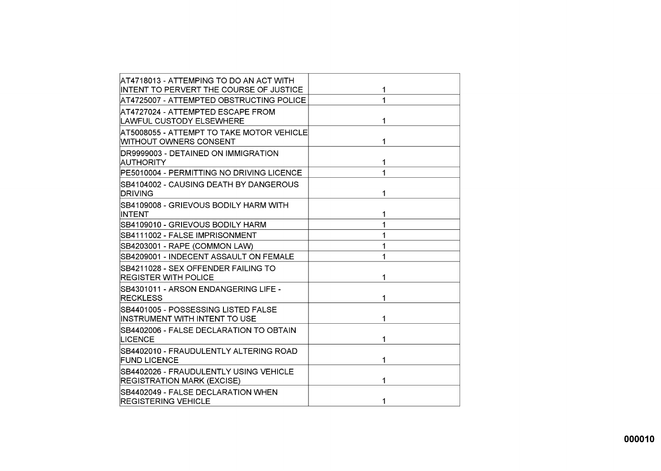| AT4718013 - ATTEMPING TO DO AN ACT WITH                                     |              |
|-----------------------------------------------------------------------------|--------------|
| INTENT TO PERVERT THE COURSE OF JUSTICE                                     | 1            |
| AT4725007 - ATTEMPTED OBSTRUCTING POLICE                                    | 1            |
| AT4727024 - ATTEMPTED ESCAPE FROM                                           |              |
| <b>LAWFUL CUSTODY ELSEWHERE</b>                                             | 1            |
| AT5008055 - ATTEMPT TO TAKE MOTOR VEHICLE<br>WITHOUT OWNERS CONSENT         | 1            |
| DR9999003 - DETAINED ON IMMIGRATION<br><b>AUTHORITY</b>                     | 1            |
| PE5010004 - PERMITTING NO DRIVING LICENCE                                   | 1            |
| ISB4104002 - CAUSING DEATH BY DANGEROUS<br><b>DRIVING</b>                   | 1            |
| SB4109008 - GRIEVOUS BODILY HARM WITH<br>INTENT                             | 1            |
| SB4109010 - GRIEVOUS BODILY HARM                                            | 1            |
| SB4111002 - FALSE IMPRISONMENT                                              | 1            |
| SB4203001 - RAPE (COMMON LAW)                                               | 1            |
| SB4209001 - INDECENT ASSAULT ON FEMALE                                      | 1            |
| SB4211028 - SEX OFFENDER FAILING TO<br><b>REGISTER WITH POLICE</b>          | 1            |
| SB4301011 - ARSON ENDANGERING LIFE -<br><b>RECKLESS</b>                     | 1            |
| SB4401005 - POSSESSING LISTED FALSE<br>INSTRUMENT WITH INTENT TO USE        | 1            |
| SB4402006 - FALSE DECLARATION TO OBTAIN<br>LICENCE                          | 1            |
| SB4402010 - FRAUDULENTLY ALTERING ROAD<br><b>FUND LICENCE</b>               | 1            |
| SB4402026 - FRAUDULENTLY USING VEHICLE<br><b>REGISTRATION MARK (EXCISE)</b> | 1            |
| SB4402049 - FALSE DECLARATION WHEN<br><b>REGISTERING VEHICLE</b>            | $\mathbf{1}$ |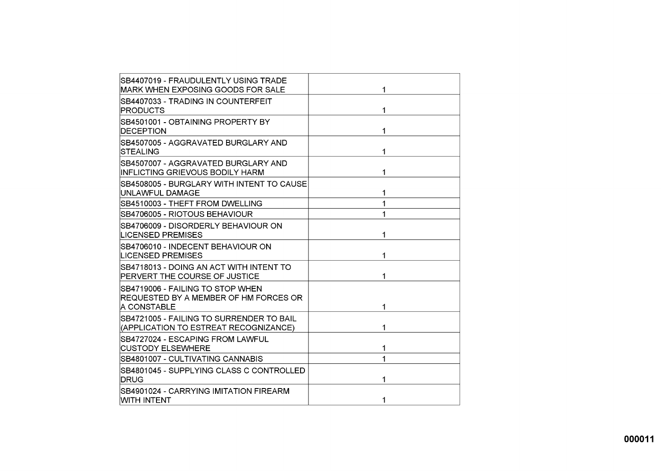| SB4407019 - FRAUDULENTLY USING TRADE<br>MARK WHEN EXPOSING GOODS FOR SALE                | 1 |
|------------------------------------------------------------------------------------------|---|
| SB4407033 - TRADING IN COUNTERFEIT<br><b>PRODUCTS</b>                                    | 1 |
| SB4501001 - OBTAINING PROPERTY BY<br><b>DECEPTION</b>                                    | 1 |
| SB4507005 - AGGRAVATED BURGLARY AND<br><b>STEALING</b>                                   | 1 |
| SB4507007 - AGGRAVATED BURGLARY AND<br>INFLICTING GRIEVOUS BODILY HARM                   | 1 |
| SB4508005 - BURGLARY WITH INTENT TO CAUSE<br>UNLAWFUL DAMAGE                             | 1 |
| SB4510003 - THEFT FROM DWELLING                                                          | 1 |
| SB4706005 - RIOTOUS BEHAVIOUR                                                            |   |
| SB4706009 - DISORDERLY BEHAVIOUR ON<br><b>LICENSED PREMISES</b>                          | 1 |
| SB4706010 - INDECENT BEHAVIOUR ON<br><b>LICENSED PREMISES</b>                            |   |
| SB4718013 - DOING AN ACT WITH INTENT TO<br>PERVERT THE COURSE OF JUSTICE                 | 1 |
| SB4719006 - FAILING TO STOP WHEN<br>REQUESTED BY A MEMBER OF HM FORCES OR<br>A CONSTABLE | 1 |
| SB4721005 - FAILING TO SURRENDER TO BAIL<br>(APPLICATION TO ESTREAT RECOGNIZANCE)        |   |
| SB4727024 - ESCAPING FROM LAWFUL<br><b>CUSTODY ELSEWHERE</b>                             | 1 |
| SB4801007 - CULTIVATING CANNABIS                                                         | 1 |
| SB4801045 - SUPPLYING CLASS C CONTROLLED<br>DRUG                                         |   |
| SB4901024 - CARRYING IMITATION FIREARM<br>WITH INTENT                                    | 1 |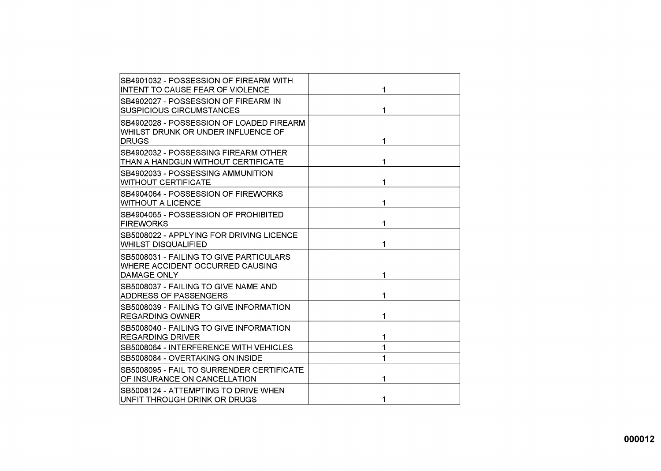| SB4901032 - POSSESSION OF FIREARM WITH<br>INTENT TO CAUSE FEAR OF VIOLENCE                       | 1 |
|--------------------------------------------------------------------------------------------------|---|
| SB4902027 - POSSESSION OF FIREARM IN<br>ISUSPICIOUS CIRCUMSTANCES                                | 1 |
| SB4902028 - POSSESSION OF LOADED FIREARM<br>WHILST DRUNK OR UNDER INFLUENCE OF<br><b>IDRUGS</b>  | 1 |
| ISB4902032 - POSSESSING FIREARM OTHER<br>THAN A HANDGUN WITHOUT CERTIFICATE                      | 1 |
| SB4902033 - POSSESSING AMMUNITION<br><b>WITHOUT CERTIFICATE</b>                                  | 1 |
| SB4904064 - POSSESSION OF FIREWORKS<br>WITHOUT A LICENCE                                         | 1 |
| SB4904065 - POSSESSION OF PROHIBITED<br>FIREWORKS                                                | 1 |
| SB5008022 - APPLYING FOR DRIVING LICENCE<br>WHILST DISQUALIFIED                                  | 1 |
| SB5008031 - FAILING TO GIVE PARTICULARS<br><b>WHERE ACCIDENT OCCURRED CAUSING</b><br>DAMAGE ONLY | 1 |
| SB5008037 - FAILING TO GIVE NAME AND<br><b>ADDRESS OF PASSENGERS</b>                             | 1 |
| SB5008039 - FAILING TO GIVE INFORMATION<br><b>REGARDING OWNER</b>                                | 1 |
| ISB5008040 - FAILING TO GIVE INFORMATION<br><b>REGARDING DRIVER</b>                              | 1 |
| SB5008064 - INTERFERENCE WITH VEHICLES                                                           | 1 |
| SB5008084 - OVERTAKING ON INSIDE                                                                 | 1 |
| SB5008095 - FAIL TO SURRENDER CERTIFICATE<br>OF INSURANCE ON CANCELLATION                        | 1 |
| SB5008124 - ATTEMPTING TO DRIVE WHEN<br>UNFIT THROUGH DRINK OR DRUGS                             | 1 |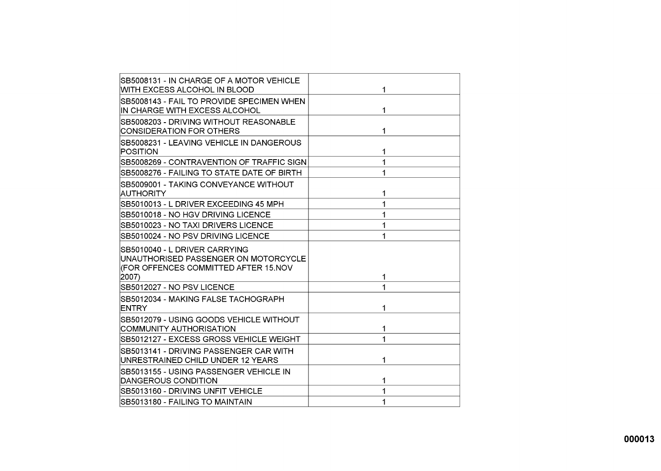| ISB5008131 - IN CHARGE OF A MOTOR VEHICLE<br>WITH EXCESS ALCOHOL IN BLOOD                                              | 1 |
|------------------------------------------------------------------------------------------------------------------------|---|
| SB5008143 - FAIL TO PROVIDE SPECIMEN WHEN<br>IN CHARGE WITH EXCESS ALCOHOL                                             | 1 |
| ISB5008203 - DRIVING WITHOUT REASONABLE<br><b>CONSIDERATION FOR OTHERS</b>                                             | 1 |
| SB5008231 - LEAVING VEHICLE IN DANGEROUS<br>POSITION                                                                   | 1 |
| SB5008269 - CONTRAVENTION OF TRAFFIC SIGN                                                                              | 1 |
| SB5008276 - FAILING TO STATE DATE OF BIRTHI                                                                            | 1 |
| ISB5009001 - TAKING CONVEYANCE WITHOUT<br>AUTHORITY                                                                    | 1 |
| SB5010013 - L DRIVER EXCEEDING 45 MPH                                                                                  | 1 |
| SB5010018 - NO HGV DRIVING LICENCE                                                                                     | 1 |
| SB5010023 - NO TAXI DRIVERS LICENCE                                                                                    | 1 |
| SB5010024 - NO PSV DRIVING LICENCE                                                                                     | 1 |
| SB5010040 - L DRIVER CARRYING<br>UNAUTHORISED PASSENGER ON MOTORCYCLE<br>(FOR OFFENCES COMMITTED AFTER 15.NOV<br>2007) | 1 |
| SB5012027 - NO PSV LICENCE                                                                                             | 1 |
| SB5012034 - MAKING FALSE TACHOGRAPH<br><b>ENTRY</b>                                                                    | 1 |
| ISB5012079 - USING GOODS VEHICLE WITHOUT<br>COMMUNITY AUTHORISATION                                                    | 1 |
| lSB5012127 - EXCESS GROSS VEHICLE WEIGHT                                                                               | 1 |
| SB5013141 - DRIVING PASSENGER CAR WITH<br>UNRESTRAINED CHILD UNDER 12 YEARS                                            | 1 |
| SB5013155 - USING PASSENGER VEHICLE IN<br>DANGEROUS CONDITION                                                          | 1 |
| SB5013160 - DRIVING UNFIT VEHICLE                                                                                      | 1 |
| SB5013180 - FAILING TO MAINTAIN                                                                                        | 1 |